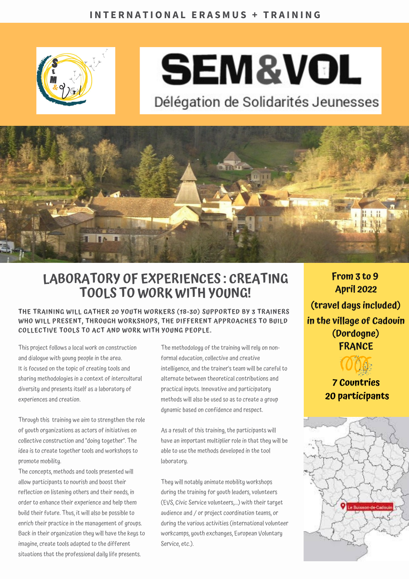

# **SEM&VOL**

Délégation de Solidarités Jeunesses



### **LABORATORY OF EXPERIENCES : CREATING TOOLS TO WORK WITH YOUNG!**

#### **THE TRAINING WILL GATHER 20 YOUTH WORKERS (18-30) SUPPORTED BY 3 TRAINERS WHO WILL PRESENT, THROUGH WORKSHOPS, THE DIFFERENT APPROACHES TO BUILD COLLECTIVE TOOLS TO ACT AND WORK WITH YOUNG PEOPLE.**

This project follows a local work on construction and dialogue with young people in the area. It is focused on the topic of creating tools and sharing methodologies in a context of intercultural diversity and presents itself as a laboratory of experiences and creation.

Through this training we aim to strengthen the role of youth organizations as actors of initiatives on collective construction and "doing together". The idea is to create together tools and workshops to promote mobility.

The concepts, methods and tools presented will allow participants to nourish and boost their reflection on listening others and their needs, in order to enhance their experience and help them build their future. Thus, it will also be possible to enrich their practice in the management of groups. Back in their organization they will have the keys to imagine, create tools adapted to the different situations that the professional daily life presents.

The methodology of the training will rely on nonformal education, collective and creative intelligence, and the trainer's team will be careful to alternate between theoretical contributions and practical inputs. Innovative and participatory methods will also be used so as to create a group dynamic based on confidence and respect.

As a result of this training, the participants will have an important multiplier role in that they will be able to use the methods developed in the tool laboratory.

They will notably animate mobility workshops during the training for youth leaders, volunteers (EVS, Civic Service volunteers,...) with their target audience and / or project coordination teams, or during the various activities (international volunteer workcamps, youth exchanges, European Voluntary Service, etc.).

**From 3 to 9 April 2022 (travel days included) in the village of Cadouin (Dordogne) FRANCE**

> **7 Countries 20 participants**